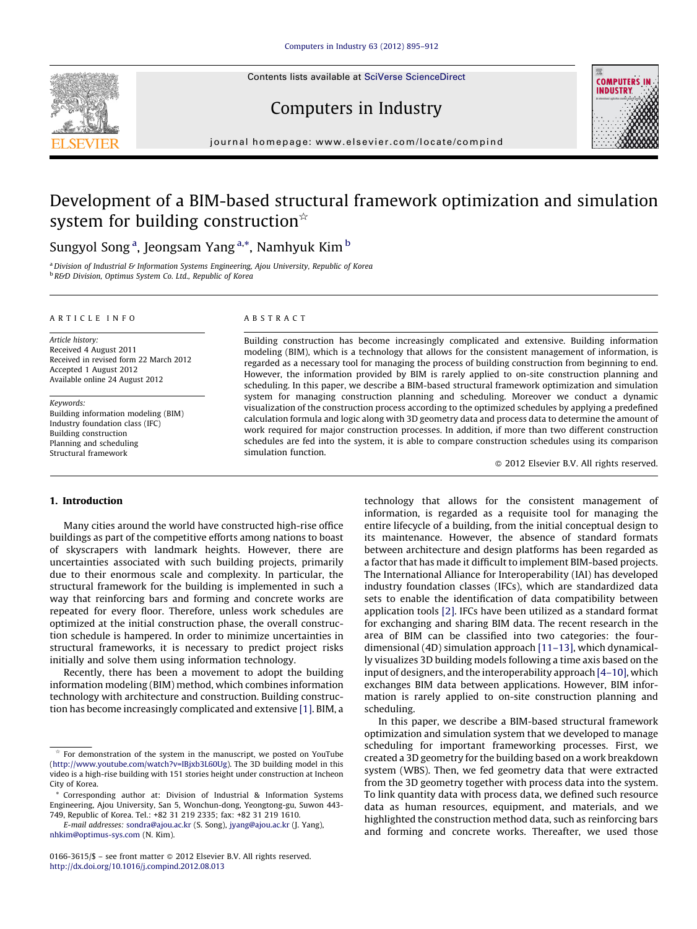Contents lists available at SciVerse [ScienceDirect](http://www.sciencedirect.com/science/journal/01663615)







journal homepage: www.elsevier.com/locate/compind

## Development of a BIM-based structural framework optimization and simulation system for building construction $\dot{\varphi}$

### Sungyol Song<sup>a</sup>, Jeongsam Yang<sup>a,\*</sup>, Namhyuk Kim <sup>b</sup>

<sup>a</sup> Division of Industrial & Information Systems Engineering, Ajou University, Republic of Korea <sup>b</sup> R&D Division, Optimus System Co. Ltd., Republic of Korea

#### A R T I C L E I N F O

Article history: Received 4 August 2011 Received in revised form 22 March 2012 Accepted 1 August 2012 Available online 24 August 2012

Keywords: Building information modeling (BIM) Industry foundation class (IFC) Building construction Planning and scheduling Structural framework

#### A B S T R A C T

Building construction has become increasingly complicated and extensive. Building information modeling (BIM), which is a technology that allows for the consistent management of information, is regarded as a necessary tool for managing the process of building construction from beginning to end. However, the information provided by BIM is rarely applied to on-site construction planning and scheduling. In this paper, we describe a BIM-based structural framework optimization and simulation system for managing construction planning and scheduling. Moreover we conduct a dynamic visualization of the construction process according to the optimized schedules by applying a predefined calculation formula and logic along with 3D geometry data and process data to determine the amount of work required for major construction processes. In addition, if more than two different construction schedules are fed into the system, it is able to compare construction schedules using its comparison simulation function.

- 2012 Elsevier B.V. All rights reserved.

#### 1. Introduction

Many cities around the world have constructed high-rise office buildings as part of the competitive efforts among nations to boast of skyscrapers with landmark heights. However, there are uncertainties associated with such building projects, primarily due to their enormous scale and complexity. In particular, the structural framework for the building is implemented in such a way that reinforcing bars and forming and concrete works are repeated for every floor. Therefore, unless work schedules are optimized at the initial construction phase, the overall construction schedule is hampered. In order to minimize uncertainties in structural frameworks, it is necessary to predict project risks initially and solve them using information technology.

Recently, there has been a movement to adopt the building information modeling (BIM) method, which combines information technology with architecture and construction. Building construction has become increasingly complicated and extensive [\[1\].](#page--1-0) BIM, a technology that allows for the consistent management of information, is regarded as a requisite tool for managing the entire lifecycle of a building, from the initial conceptual design to its maintenance. However, the absence of standard formats between architecture and design platforms has been regarded as a factor that has made it difficult to implement BIM-based projects. The International Alliance for Interoperability (IAI) has developed industry foundation classes (IFCs), which are standardized data sets to enable the identification of data compatibility between application tools [\[2\]](#page--1-0). IFCs have been utilized as a standard format for exchanging and sharing BIM data. The recent research in the area of BIM can be classified into two categories: the fourdimensional (4D) simulation approach [\[11–13\]](#page--1-0), which dynamically visualizes 3D building models following a time axis based on the input of designers, and the interoperability approach [\[4–10\],](#page--1-0) which exchanges BIM data between applications. However, BIM information is rarely applied to on-site construction planning and scheduling.

In this paper, we describe a BIM-based structural framework optimization and simulation system that we developed to manage scheduling for important frameworking processes. First, we created a 3D geometry for the building based on a work breakdown system (WBS). Then, we fed geometry data that were extracted from the 3D geometry together with process data into the system. To link quantity data with process data, we defined such resource data as human resources, equipment, and materials, and we highlighted the construction method data, such as reinforcing bars and forming and concrete works. Thereafter, we used those

For demonstration of the system in the manuscript, we posted on YouTube [\(http://www.youtube.com/watch?v=IBjxb3L60Ug](http://www.youtube.com/watch?v=IBjxb3L60Ug)). The 3D building model in this video is a high-rise building with 151 stories height under construction at Incheon City of Korea.

<sup>\*</sup> Corresponding author at: Division of Industrial & Information Systems Engineering, Ajou University, San 5, Wonchun-dong, Yeongtong-gu, Suwon 443- 749, Republic of Korea. Tel.: +82 31 219 2335; fax: +82 31 219 1610.

E-mail addresses: [sondra@ajou.ac.kr](mailto:sondra@ajou.ac.kr) (S. Song), [jyang@ajou.ac.kr](mailto:jyang@ajou.ac.kr) (J. Yang), [nhkim@optimus-sys.com](mailto:nhkim@optimus-sys.com) (N. Kim).

<sup>0166-3615/\$ –</sup> see front matter © 2012 Elsevier B.V. All rights reserved. <http://dx.doi.org/10.1016/j.compind.2012.08.013>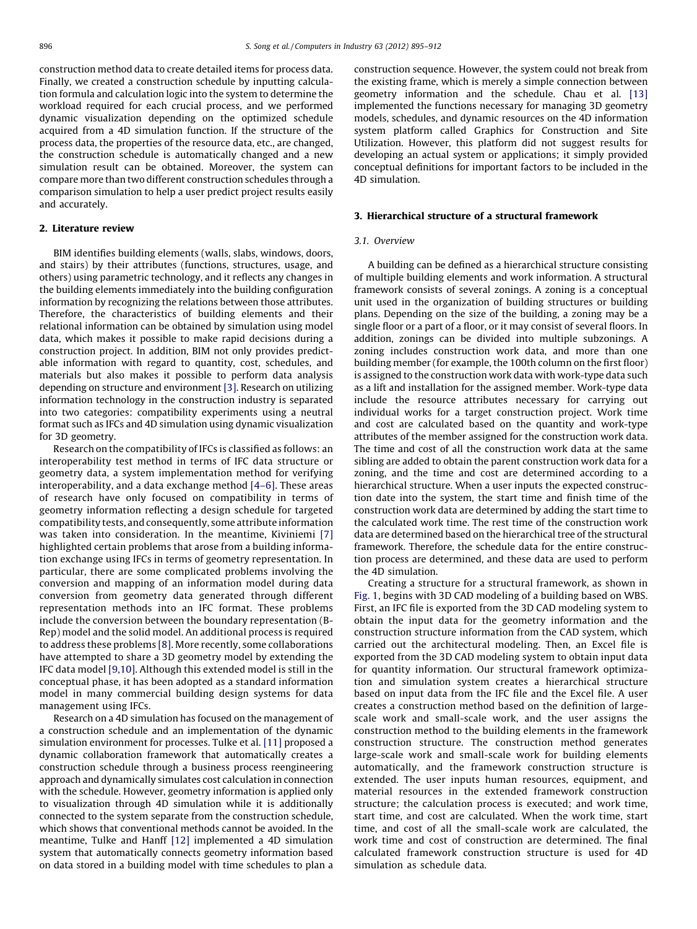construction method data to create detailed items for process data. Finally, we created a construction schedule by inputting calculation formula and calculation logic into the system to determine the workload required for each crucial process, and we performed dynamic visualization depending on the optimized schedule acquired from a 4D simulation function. If the structure of the process data, the properties of the resource data, etc., are changed, the construction schedule is automatically changed and a new simulation result can be obtained. Moreover, the system can compare more than two different construction schedules through a comparison simulation to help a user predict project results easily and accurately.

#### 2. Literature review

BIM identifies building elements (walls, slabs, windows, doors, and stairs) by their attributes (functions, structures, usage, and others) using parametric technology, and it reflects any changes in the building elements immediately into the building configuration information by recognizing the relations between those attributes. Therefore, the characteristics of building elements and their relational information can be obtained by simulation using model data, which makes it possible to make rapid decisions during a construction project. In addition, BIM not only provides predictable information with regard to quantity, cost, schedules, and materials but also makes it possible to perform data analysis depending on structure and environment [\[3\].](#page--1-0) Research on utilizing information technology in the construction industry is separated into two categories: compatibility experiments using a neutral format such as IFCs and 4D simulation using dynamic visualization for 3D geometry.

Research on the compatibility of IFCs is classified as follows: an interoperability test method in terms of IFC data structure or geometry data, a system implementation method for verifying interoperability, and a data exchange method [\[4–6\]](#page--1-0). These areas of research have only focused on compatibility in terms of geometry information reflecting a design schedule for targeted compatibility tests, and consequently, some attribute information was taken into consideration. In the meantime, Kiviniemi [\[7\]](#page--1-0) highlighted certain problems that arose from a building information exchange using IFCs in terms of geometry representation. In particular, there are some complicated problems involving the conversion and mapping of an information model during data conversion from geometry data generated through different representation methods into an IFC format. These problems include the conversion between the boundary representation (B-Rep) model and the solid model. An additional process is required to address these problems [\[8\]](#page--1-0). More recently, some collaborations have attempted to share a 3D geometry model by extending the IFC data model [\[9,10\].](#page--1-0) Although this extended model is still in the conceptual phase, it has been adopted as a standard information model in many commercial building design systems for data management using IFCs.

Research on a 4D simulation has focused on the management of a construction schedule and an implementation of the dynamic simulation environment for processes. Tulke et al. [\[11\]](#page--1-0) proposed a dynamic collaboration framework that automatically creates a construction schedule through a business process reengineering approach and dynamically simulates cost calculation in connection with the schedule. However, geometry information is applied only to visualization through 4D simulation while it is additionally connected to the system separate from the construction schedule, which shows that conventional methods cannot be avoided. In the meantime, Tulke and Hanff [\[12\]](#page--1-0) implemented a 4D simulation system that automatically connects geometry information based on data stored in a building model with time schedules to plan a

construction sequence. However, the system could not break from the existing frame, which is merely a simple connection between geometry information and the schedule. Chau et al. [\[13\]](#page--1-0) implemented the functions necessary for managing 3D geometry models, schedules, and dynamic resources on the 4D information system platform called Graphics for Construction and Site Utilization. However, this platform did not suggest results for developing an actual system or applications; it simply provided conceptual definitions for important factors to be included in the 4D simulation.

#### 3. Hierarchical structure of a structural framework

#### 3.1. Overview

A building can be defined as a hierarchical structure consisting of multiple building elements and work information. A structural framework consists of several zonings. A zoning is a conceptual unit used in the organization of building structures or building plans. Depending on the size of the building, a zoning may be a single floor or a part of a floor, or it may consist of several floors. In addition, zonings can be divided into multiple subzonings. A zoning includes construction work data, and more than one building member (for example, the 100th column on the first floor) is assigned to the construction work data with work-type data such as a lift and installation for the assigned member. Work-type data include the resource attributes necessary for carrying out individual works for a target construction project. Work time and cost are calculated based on the quantity and work-type attributes of the member assigned for the construction work data. The time and cost of all the construction work data at the same sibling are added to obtain the parent construction work data for a zoning, and the time and cost are determined according to a hierarchical structure. When a user inputs the expected construction date into the system, the start time and finish time of the construction work data are determined by adding the start time to the calculated work time. The rest time of the construction work data are determined based on the hierarchical tree of the structural framework. Therefore, the schedule data for the entire construction process are determined, and these data are used to perform the 4D simulation.

Creating a structure for a structural framework, as shown in [Fig.](#page--1-0) 1, begins with 3D CAD modeling of a building based on WBS. First, an IFC file is exported from the 3D CAD modeling system to obtain the input data for the geometry information and the construction structure information from the CAD system, which carried out the architectural modeling. Then, an Excel file is exported from the 3D CAD modeling system to obtain input data for quantity information. Our structural framework optimization and simulation system creates a hierarchical structure based on input data from the IFC file and the Excel file. A user creates a construction method based on the definition of largescale work and small-scale work, and the user assigns the construction method to the building elements in the framework construction structure. The construction method generates large-scale work and small-scale work for building elements automatically, and the framework construction structure is extended. The user inputs human resources, equipment, and material resources in the extended framework construction structure; the calculation process is executed; and work time, start time, and cost are calculated. When the work time, start time, and cost of all the small-scale work are calculated, the work time and cost of construction are determined. The final calculated framework construction structure is used for 4D simulation as schedule data.